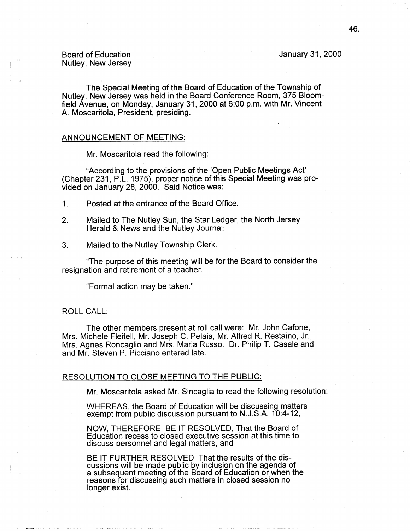# Board of Education Nutley, New Jersey

The Special Meeting of the Board of Education of the Township of Nutley, New Jersey was held in the Board Conference Room, 375 Bloomfield Avenue, on Monday, January 31, 2000 at 6:00 p.m. with Mr. Vincent A. Moscaritola, President, presiding.

# ANNOUNCEMENT OF MEETING:

Mr. Moscaritola read the following:

"According to the provisions of the 'Open Public Meetings Act' (Chapter 231, P.L. 1975), proper notice of this Special Meeting was provided on January 28, 2000. Said Notice was:

- 1. Posted at the entrance of the Board Office.
- 2. Mailed to The Nutley Sun, the Star Ledger, the North Jersey Herald & News and the Nutley Journal.
- 3. Mailed to the Nutley Township Clerk.

"The purpose of this meeting will be for the Board to consider the resignation and retirement of a teacher.

"Formal action may be taken."

# ROLL CALL:

The other members present at roll call were: Mr. John Catone, Mrs. Michele Fleitell, Mr. Joseph C. Pelaia, Mr. Alfred R. Restaino, Jr., Mrs. Agnes Roncaglio and Mrs. Maria Russo. Dr. Philip T. Casale and and Mr. Steven P. Picciano entered late.

# RESOLUTION TO CLOSE MEETING TO THE PUBLIC:

Mr. Moscaritola asked Mr. Sincaglia to read the following resolution:

WHEREAS, the Board of Education will be discussing matters exempt from public discussion pursuant to N.J.S.A. 10:4-12,

**NOW,** THEREFORE, BE IT RESOLVED, That the Board of Education recess to closed executive session at this time to discuss personnel and legal matters, and

BE IT FURTHER RESOLVED, That the results of the discussions will be made public by inclusion on the agenda of a subsequent meeting of the Board of Education or when the reasons for discussing such matters in closed session no longer exist.